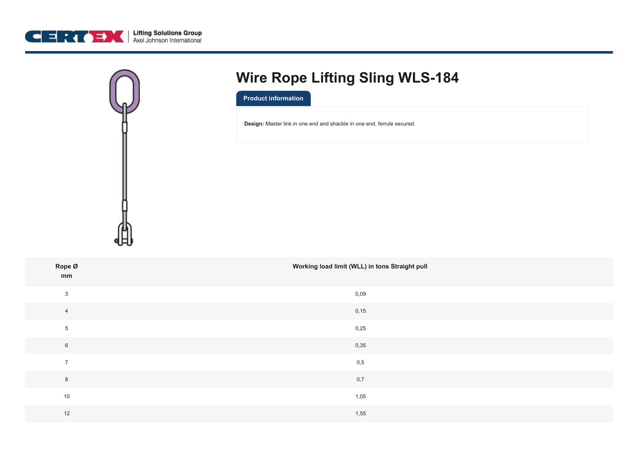



# **Wire Rope Lifting Sling WLS-184**

**Product information**

**Design:** Master link in one end and shackle in one end, ferrule secured.

| Rope Ø<br>mm   | Working load limit (WLL) in tons Straight pull |
|----------------|------------------------------------------------|
| $\mathbf{3}$   | 0,09                                           |
| $\overline{4}$ | 0,15                                           |
| $\overline{5}$ | 0,25                                           |
| $\,6\,$        | 0,35                                           |
| $\overline{7}$ | 0,5                                            |
| $\,8\,$        | 0,7                                            |
| 10             | 1,05                                           |
| 12             | 1,55                                           |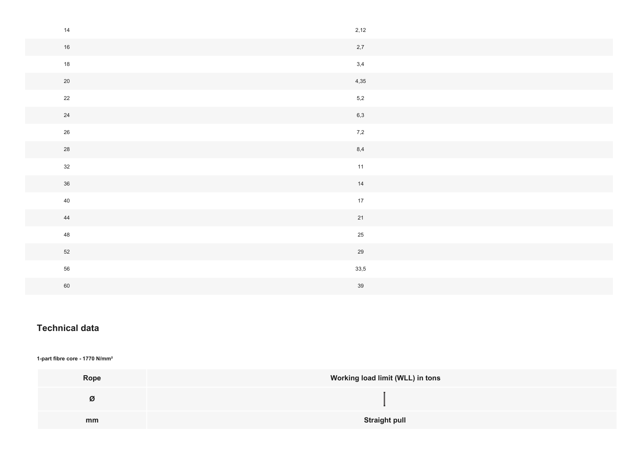| 14     | 2,12          |
|--------|---------------|
| $16\,$ | 2,7           |
| $18$   | 3,4           |
| $20\,$ | 4,35          |
| 22     | $5,2$         |
| 24     | 6,3           |
| $26\,$ | 7,2           |
| 28     | 8,4           |
| 32     | 11            |
| $36\,$ | $\frac{1}{4}$ |
| 40     | 17            |
| 44     | 21            |
| 48     | $25\,$        |
| 52     | $29\,$        |
| 56     | 33,5          |
| 60     | 39            |

# **Technical data**

## **1-part fibre core - 1770 N/mm²**

| Rope | Working load limit (WLL) in tons |
|------|----------------------------------|
| Ø    |                                  |
| mm   | <b>Straight pull</b>             |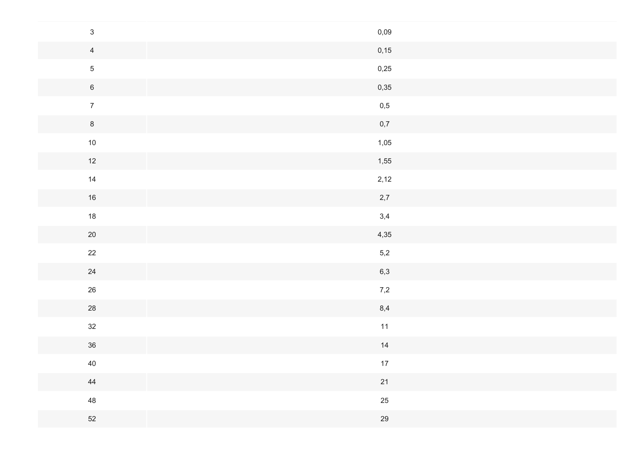| $\mathfrak{S}$ | 0,09 |
|----------------|------|
| $\overline{4}$ | 0,15 |
| $\sqrt{5}$     | 0,25 |
| $\,$ 6 $\,$    | 0,35 |
| $\overline{7}$ | 0,5  |
| $8\phantom{.}$ | 0,7  |
| $10\,$         | 1,05 |
| 12             | 1,55 |
| 14             | 2,12 |
| $16\,$         | 2,7  |
| $18$           | 3,4  |
| $20\,$         | 4,35 |
| $22\,$         | 5,2  |
| 24             | 6,3  |
| $26\,$         | 7,2  |
| 28             | 8,4  |
| $32\,$         | $11$ |
| $36\,$         | 14   |
| 40             | 17   |
| 44             | 21   |
| 48             | 25   |
| 52             | 29   |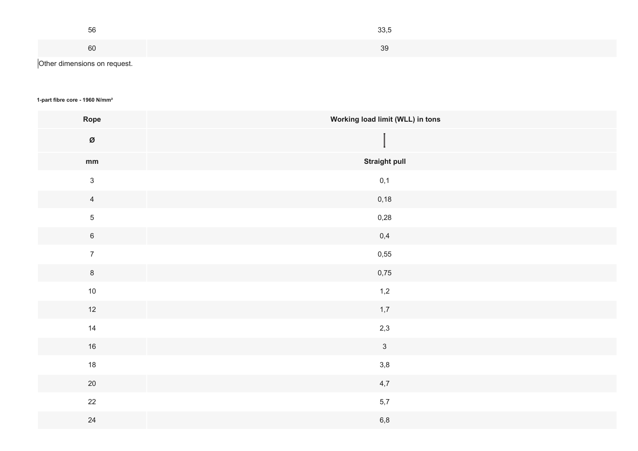| 56                           | 33,5 |
|------------------------------|------|
| 60                           | 39   |
| Other dimensions on request. |      |

### **1-part fibre core - 1960 N/mm²**

| Rope           | Working load limit (WLL) in tons |
|----------------|----------------------------------|
| Ø              |                                  |
| mm             | <b>Straight pull</b>             |
| $\mathbf{3}$   | $0,1$                            |
| $\overline{4}$ | 0,18                             |
| $\overline{5}$ | 0,28                             |
| $6\,$          | 0,4                              |
| $\overline{7}$ | 0,55                             |
| $\,$ 8 $\,$    | 0,75                             |
| $10$           | 1,2                              |
| $12$           | 1,7                              |
| 14             | 2,3                              |
| 16             | $\mathbf{3}$                     |
| 18             | $3,8$                            |
| $20\,$         | 4,7                              |
| 22             | 5,7                              |
| $24\,$         | $6,8$                            |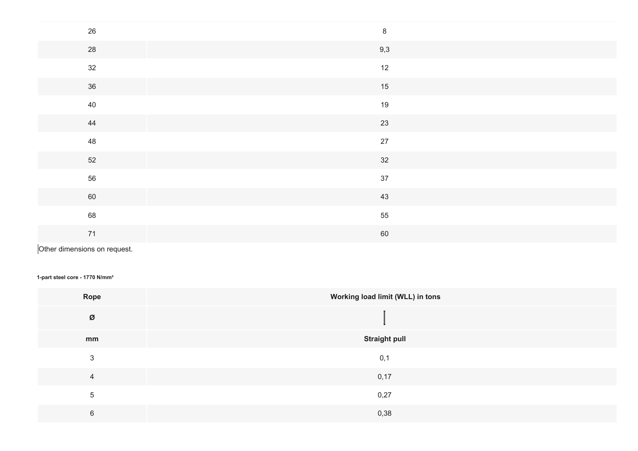| 26     | $\,8\,$ |
|--------|---------|
| 28     | 9,3     |
| 32     | 12      |
| 36     | 15      |
| 40     | 19      |
| 44     | 23      |
| 48     | 27      |
| $52\,$ | 32      |
| 56     | 37      |
| 60     | 43      |
| 68     | 55      |
| $71$   | 60      |

Other dimensions on request.

#### **1-part steel core - 1770 N/mm²**

| Rope           | Working load limit (WLL) in tons |
|----------------|----------------------------------|
| Ø              |                                  |
| mm             | <b>Straight pull</b>             |
| 3              | 0,1                              |
| $\overline{4}$ | 0,17                             |
| $\overline{5}$ | 0,27                             |
| 6              | 0,38                             |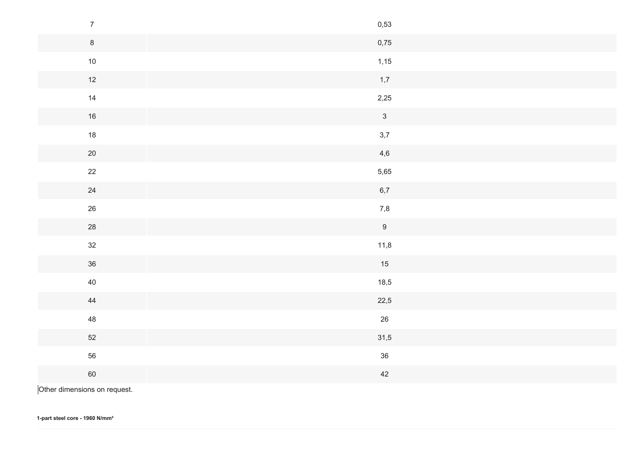| $\overline{7}$   | 0,53           |
|------------------|----------------|
| $\boldsymbol{8}$ | 0,75           |
| $10$             | 1,15           |
| 12               | 1,7            |
| 14               | 2,25           |
| $16\,$           | $\mathfrak{Z}$ |
| $18$             | 3,7            |
| $20\,$           | 4,6            |
| 22               | 5,65           |
| 24               | $6,7$          |
| $26\,$           | 7,8            |
| 28               | 9              |
| 32               | 11,8           |
| 36               | 15             |
| $40\,$           | 18,5           |
| 44               | 22,5           |
| 48               | $26\,$         |
| 52               | 31,5           |
| 56               | 36             |
| 60               | $42\,$         |
|                  |                |

Other dimensions on request.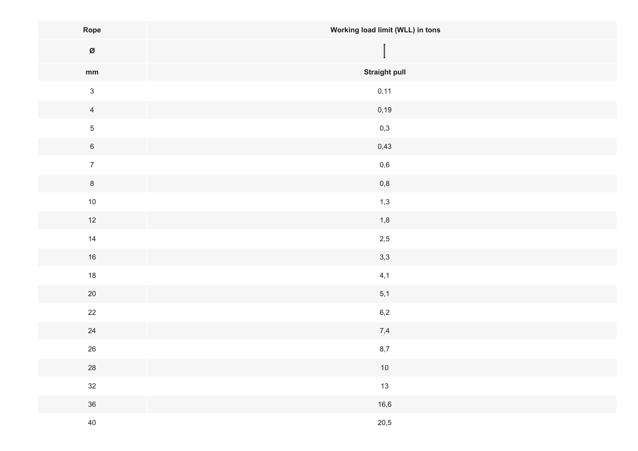| Rope                            | Working load limit (WLL) in tons |
|---------------------------------|----------------------------------|
| $\boldsymbol{\varnothing}$      |                                  |
| $\mathop{\mathsf{mm}}\nolimits$ | <b>Straight pull</b>             |
| $\mathfrak{S}$                  | 0,11                             |
| $\overline{4}$                  | 0,19                             |
| $\sqrt{5}$                      | $_{\rm 0,3}$                     |
| $\,$ 6 $\,$                     | 0,43                             |
| $\boldsymbol{7}$                | $_{\rm 0,6}$                     |
| $\bf 8$                         | $0,\!8$                          |
| $10\,$                          | 1,3                              |
| $12$                            | 1,8                              |
| 14                              | $2,5$                            |
| $16\,$                          | 3,3                              |
| 18                              | 4,1                              |
| $20\,$                          | 5,1                              |
| 22                              | 6,2                              |
| 24                              | 7,4                              |
| $26\,$                          | $8,7$                            |
| ${\bf 28}$                      | $10\,$                           |
| 32                              | 13                               |
| 36                              | 16,6                             |
| 40                              | 20,5                             |